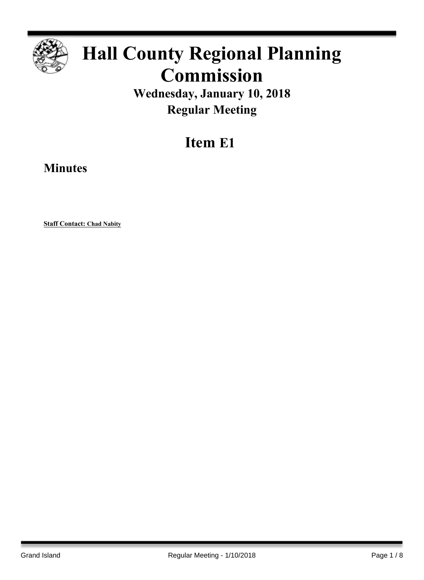

# **Hall County Regional Planning Commission**

**Wednesday, January 10, 2018 Regular Meeting**

# **Item E1**

**Minutes**

**Staff Contact: Chad Nabity**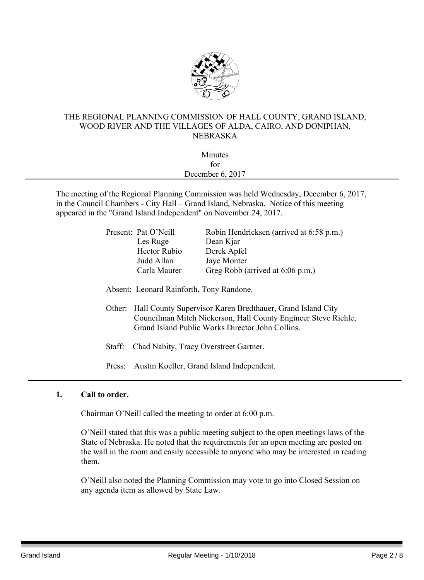

## THE REGIONAL PLANNING COMMISSION OF HALL COUNTY, GRAND ISLAND, WOOD RIVER AND THE VILLAGES OF ALDA, CAIRO, AND DONIPHAN, NEBRASKA

| Minutes          |  |
|------------------|--|
| for              |  |
| December 6, 2017 |  |
|                  |  |

The meeting of the Regional Planning Commission was held Wednesday, December 6, 2017, in the Council Chambers - City Hall – Grand Island, Nebraska. Notice of this meeting appeared in the "Grand Island Independent" on November 24, 2017.

| Present: Pat O'Neill | Robin Hendricksen (arrived at 6:58 p.m.) |
|----------------------|------------------------------------------|
| Les Ruge             | Dean Kjar                                |
| <b>Hector Rubio</b>  | Derek Apfel                              |
| Judd Allan           | Jaye Monter                              |
| Carla Maurer         | Greg Robb (arrived at 6:06 p.m.)         |
|                      |                                          |

Absent: Leonard Rainforth, Tony Randone.

- Other: Hall County Supervisor Karen Bredthauer, Grand Island City Councilman Mitch Nickerson, Hall County Engineer Steve Riehle, Grand Island Public Works Director John Collins.
- Staff: Chad Nabity, Tracy Overstreet Gartner.

Press: Austin Koeller, Grand Island Independent.

# **1. Call to order.**

Chairman O'Neill called the meeting to order at 6:00 p.m.

O'Neill stated that this was a public meeting subject to the open meetings laws of the State of Nebraska. He noted that the requirements for an open meeting are posted on the wall in the room and easily accessible to anyone who may be interested in reading them.

O'Neill also noted the Planning Commission may vote to go into Closed Session on any agenda item as allowed by State Law.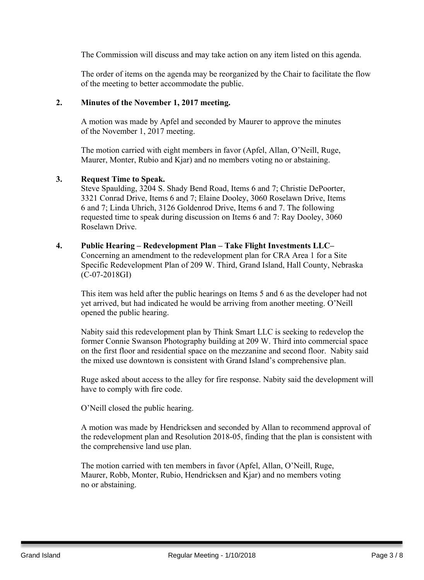The Commission will discuss and may take action on any item listed on this agenda.

The order of items on the agenda may be reorganized by the Chair to facilitate the flow of the meeting to better accommodate the public.

#### **2. Minutes of the November 1, 2017 meeting.**

A motion was made by Apfel and seconded by Maurer to approve the minutes of the November 1, 2017 meeting.

The motion carried with eight members in favor (Apfel, Allan, O'Neill, Ruge, Maurer, Monter, Rubio and Kjar) and no members voting no or abstaining.

#### **3. Request Time to Speak.**

Steve Spaulding, 3204 S. Shady Bend Road, Items 6 and 7; Christie DePoorter, 3321 Conrad Drive, Items 6 and 7; Elaine Dooley, 3060 Roselawn Drive, Items 6 and 7; Linda Uhrich, 3126 Goldenrod Drive, Items 6 and 7. The following requested time to speak during discussion on Items 6 and 7: Ray Dooley, 3060 Roselawn Drive.

#### **4. Public Hearing – Redevelopment Plan – Take Flight Investments LLC–**

Concerning an amendment to the redevelopment plan for CRA Area 1 for a Site Specific Redevelopment Plan of 209 W. Third, Grand Island, Hall County, Nebraska (C-07-2018GI)

This item was held after the public hearings on Items 5 and 6 as the developer had not yet arrived, but had indicated he would be arriving from another meeting. O'Neill opened the public hearing.

Nabity said this redevelopment plan by Think Smart LLC is seeking to redevelop the former Connie Swanson Photography building at 209 W. Third into commercial space on the first floor and residential space on the mezzanine and second floor. Nabity said the mixed use downtown is consistent with Grand Island's comprehensive plan.

Ruge asked about access to the alley for fire response. Nabity said the development will have to comply with fire code.

O'Neill closed the public hearing.

A motion was made by Hendricksen and seconded by Allan to recommend approval of the redevelopment plan and Resolution 2018-05, finding that the plan is consistent with the comprehensive land use plan.

The motion carried with ten members in favor (Apfel, Allan, O'Neill, Ruge, Maurer, Robb, Monter, Rubio, Hendricksen and Kjar) and no members voting no or abstaining.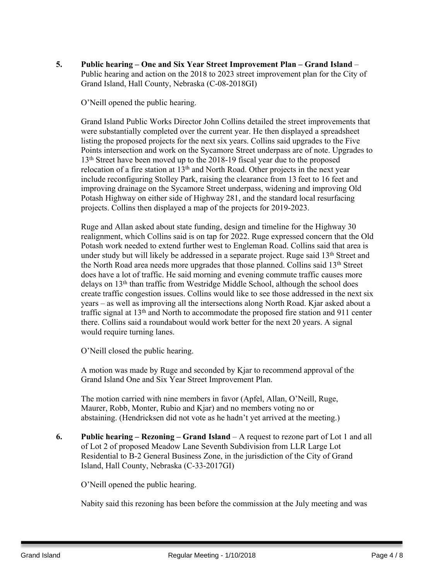**5. Public hearing – One and Six Year Street Improvement Plan – Grand Island** – Public hearing and action on the 2018 to 2023 street improvement plan for the City of Grand Island, Hall County, Nebraska (C-08-2018GI)

O'Neill opened the public hearing.

Grand Island Public Works Director John Collins detailed the street improvements that were substantially completed over the current year. He then displayed a spreadsheet listing the proposed projects for the next six years. Collins said upgrades to the Five Points intersection and work on the Sycamore Street underpass are of note. Upgrades to 13<sup>th</sup> Street have been moved up to the 2018-19 fiscal year due to the proposed relocation of a fire station at  $13<sup>th</sup>$  and North Road. Other projects in the next year include reconfiguring Stolley Park, raising the clearance from 13 feet to 16 feet and improving drainage on the Sycamore Street underpass, widening and improving Old Potash Highway on either side of Highway 281, and the standard local resurfacing projects. Collins then displayed a map of the projects for 2019-2023.

Ruge and Allan asked about state funding, design and timeline for the Highway 30 realignment, which Collins said is on tap for 2022. Ruge expressed concern that the Old Potash work needed to extend further west to Engleman Road. Collins said that area is under study but will likely be addressed in a separate project. Ruge said 13<sup>th</sup> Street and the North Road area needs more upgrades that those planned. Collins said 13th Street does have a lot of traffic. He said morning and evening commute traffic causes more delays on 13th than traffic from Westridge Middle School, although the school does create traffic congestion issues. Collins would like to see those addressed in the next six years – as well as improving all the intersections along North Road. Kjar asked about a traffic signal at 13th and North to accommodate the proposed fire station and 911 center there. Collins said a roundabout would work better for the next 20 years. A signal would require turning lanes.

O'Neill closed the public hearing.

A motion was made by Ruge and seconded by Kjar to recommend approval of the Grand Island One and Six Year Street Improvement Plan.

The motion carried with nine members in favor (Apfel, Allan, O'Neill, Ruge, Maurer, Robb, Monter, Rubio and Kjar) and no members voting no or abstaining. (Hendricksen did not vote as he hadn't yet arrived at the meeting.)

**6. Public hearing – Rezoning – Grand Island** – A request to rezone part of Lot 1 and all of Lot 2 of proposed Meadow Lane Seventh Subdivision from LLR Large Lot Residential to B-2 General Business Zone, in the jurisdiction of the City of Grand Island, Hall County, Nebraska (C-33-2017GI)

O'Neill opened the public hearing.

Nabity said this rezoning has been before the commission at the July meeting and was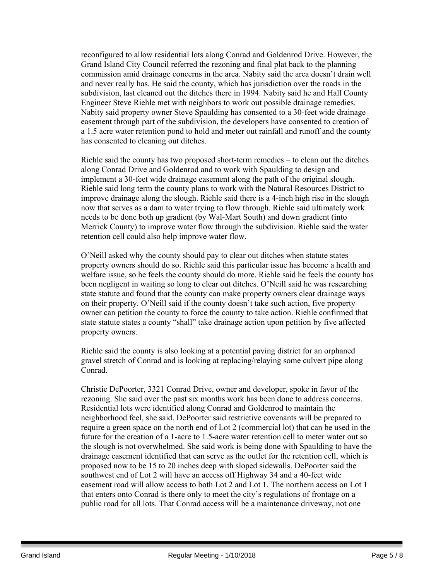reconfigured to allow residential lots along Conrad and Goldenrod Drive. However, the Grand Island City Council referred the rezoning and final plat back to the planning commission amid drainage concerns in the area. Nabity said the area doesn't drain well and never really has. He said the county, which has jurisdiction over the roads in the subdivision, last cleaned out the ditches there in 1994. Nabity said he and Hall County Engineer Steve Riehle met with neighbors to work out possible drainage remedies. Nabity said property owner Steve Spaulding has consented to a 30-feet wide drainage easement through part of the subdivision, the developers have consented to creation of a 1.5 acre water retention pond to hold and meter out rainfall and runoff and the county has consented to cleaning out ditches.

Riehle said the county has two proposed short-term remedies – to clean out the ditches along Conrad Drive and Goldenrod and to work with Spaulding to design and implement a 30-feet wide drainage easement along the path of the original slough. Riehle said long term the county plans to work with the Natural Resources District to improve drainage along the slough. Riehle said there is a 4-inch high rise in the slough now that serves as a dam to water trying to flow through. Riehle said ultimately work needs to be done both up gradient (by Wal-Mart South) and down gradient (into Merrick County) to improve water flow through the subdivision. Riehle said the water retention cell could also help improve water flow.

O'Neill asked why the county should pay to clear out ditches when statute states property owners should do so. Riehle said this particular issue has become a health and welfare issue, so he feels the county should do more. Riehle said he feels the county has been negligent in waiting so long to clear out ditches. O'Neill said he was researching state statute and found that the county can make property owners clear drainage ways on their property. O'Neill said if the county doesn't take such action, five property owner can petition the county to force the county to take action. Riehle confirmed that state statute states a county "shall" take drainage action upon petition by five affected property owners.

Riehle said the county is also looking at a potential paving district for an orphaned gravel stretch of Conrad and is looking at replacing/relaying some culvert pipe along Conrad.

Christie DePoorter, 3321 Conrad Drive, owner and developer, spoke in favor of the rezoning. She said over the past six months work has been done to address concerns. Residential lots were identified along Conrad and Goldenrod to maintain the neighborhood feel, she said. DePoorter said restrictive covenants will be prepared to require a green space on the north end of Lot 2 (commercial lot) that can be used in the future for the creation of a 1-acre to 1.5-acre water retention cell to meter water out so the slough is not overwhelmed. She said work is being done with Spaulding to have the drainage easement identified that can serve as the outlet for the retention cell, which is proposed now to be 15 to 20 inches deep with sloped sidewalls. DePoorter said the southwest end of Lot 2 will have an access off Highway 34 and a 40-feet wide easement road will allow access to both Lot 2 and Lot 1. The northern access on Lot 1 that enters onto Conrad is there only to meet the city's regulations of frontage on a public road for all lots. That Conrad access will be a maintenance driveway, not one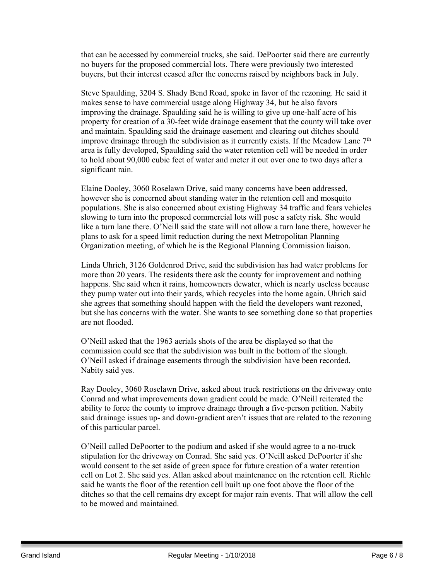that can be accessed by commercial trucks, she said. DePoorter said there are currently no buyers for the proposed commercial lots. There were previously two interested buyers, but their interest ceased after the concerns raised by neighbors back in July.

Steve Spaulding, 3204 S. Shady Bend Road, spoke in favor of the rezoning. He said it makes sense to have commercial usage along Highway 34, but he also favors improving the drainage. Spaulding said he is willing to give up one-half acre of his property for creation of a 30-feet wide drainage easement that the county will take over and maintain. Spaulding said the drainage easement and clearing out ditches should improve drainage through the subdivision as it currently exists. If the Meadow Lane  $7<sup>th</sup>$ area is fully developed, Spaulding said the water retention cell will be needed in order to hold about 90,000 cubic feet of water and meter it out over one to two days after a significant rain.

Elaine Dooley, 3060 Roselawn Drive, said many concerns have been addressed, however she is concerned about standing water in the retention cell and mosquito populations. She is also concerned about existing Highway 34 traffic and fears vehicles slowing to turn into the proposed commercial lots will pose a safety risk. She would like a turn lane there. O'Neill said the state will not allow a turn lane there, however he plans to ask for a speed limit reduction during the next Metropolitan Planning Organization meeting, of which he is the Regional Planning Commission liaison.

Linda Uhrich, 3126 Goldenrod Drive, said the subdivision has had water problems for more than 20 years. The residents there ask the county for improvement and nothing happens. She said when it rains, homeowners dewater, which is nearly useless because they pump water out into their yards, which recycles into the home again. Uhrich said she agrees that something should happen with the field the developers want rezoned, but she has concerns with the water. She wants to see something done so that properties are not flooded.

O'Neill asked that the 1963 aerials shots of the area be displayed so that the commission could see that the subdivision was built in the bottom of the slough. O'Neill asked if drainage easements through the subdivision have been recorded. Nabity said yes.

Ray Dooley, 3060 Roselawn Drive, asked about truck restrictions on the driveway onto Conrad and what improvements down gradient could be made. O'Neill reiterated the ability to force the county to improve drainage through a five-person petition. Nabity said drainage issues up- and down-gradient aren't issues that are related to the rezoning of this particular parcel.

O'Neill called DePoorter to the podium and asked if she would agree to a no-truck stipulation for the driveway on Conrad. She said yes. O'Neill asked DePoorter if she would consent to the set aside of green space for future creation of a water retention cell on Lot 2. She said yes. Allan asked about maintenance on the retention cell. Riehle said he wants the floor of the retention cell built up one foot above the floor of the ditches so that the cell remains dry except for major rain events. That will allow the cell to be mowed and maintained.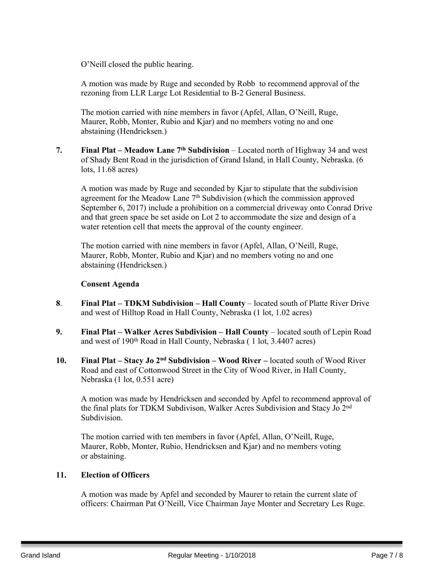O'Neill closed the public hearing.

A motion was made by Ruge and seconded by Robb to recommend approval of the rezoning from LLR Large Lot Residential to B-2 General Business.

The motion carried with nine members in favor (Apfel, Allan, O'Neill, Ruge, Maurer, Robb, Monter, Rubio and Kjar) and no members voting no and one abstaining (Hendricksen.)

**7. Final Plat – Meadow Lane 7 th Subdivision** – Located north of Highway 34 and west of Shady Bent Road in the jurisdiction of Grand Island, in Hall County, Nebraska. (6 lots, 11.68 acres)

A motion was made by Ruge and seconded by Kjar to stipulate that the subdivision agreement for the Meadow Lane 7<sup>th</sup> Subdivision (which the commission approved September 6, 2017) include a prohibition on a commercial driveway onto Conrad Drive and that green space be set aside on Lot 2 to accommodate the size and design of a water retention cell that meets the approval of the county engineer.

The motion carried with nine members in favor (Apfel, Allan, O'Neill, Ruge, Maurer, Robb, Monter, Rubio and Kjar) and no members voting no and one abstaining (Hendricksen.)

#### **Consent Agenda**

- **8**. **Final Plat – TDKM Subdivision – Hall County** located south of Platte River Drive and west of Hilltop Road in Hall County, Nebraska (1 lot, 1.02 acres)
- **9. Final Plat – Walker Acres Subdivision – Hall County** located south of Lepin Road and west of 190th Road in Hall County, Nebraska ( 1 lot, 3.4407 acres)
- **10. Final Plat – Stacy Jo 2 nd Subdivision – Wood River –** located south of Wood River Road and east of Cottonwood Street in the City of Wood River, in Hall County, Nebraska (1 lot, 0.551 acre)

A motion was made by Hendricksen and seconded by Apfel to recommend approval of the final plats for TDKM Subdivison, Walker Acres Subdivision and Stacy Jo 2<sup>nd</sup> Subdivision.

The motion carried with ten members in favor (Apfel, Allan, O'Neill, Ruge, Maurer, Robb, Monter, Rubio, Hendricksen and Kjar) and no members voting or abstaining.

# **11. Election of Officers**

A motion was made by Apfel and seconded by Maurer to retain the current slate of officers: Chairman Pat O'Neill, Vice Chairman Jaye Monter and Secretary Les Ruge.